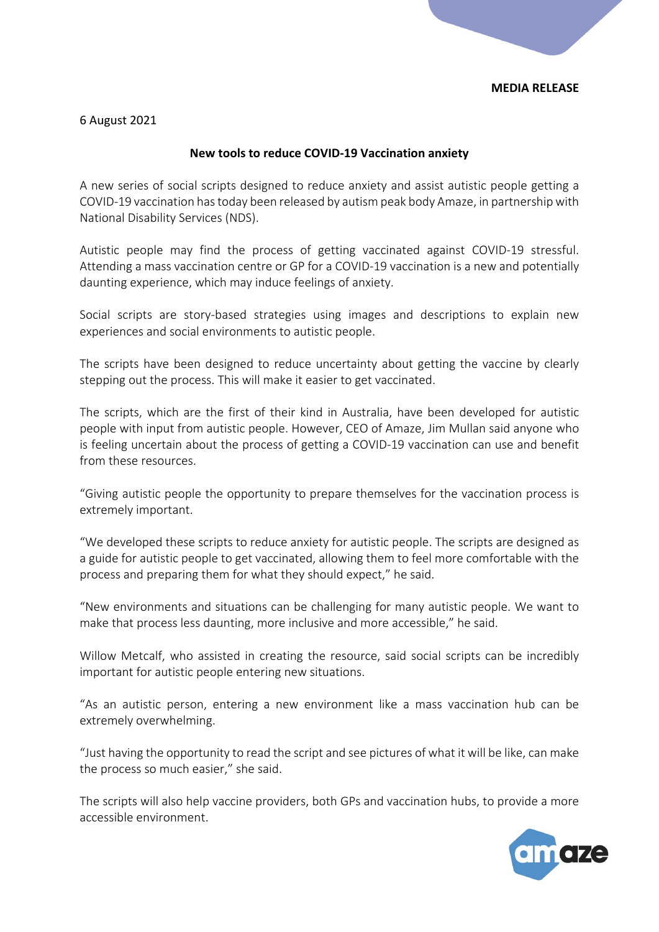## **MEDIA RELEASE**

6 August 2021

## **New tools to reduce COVID-19 Vaccination anxiety**

A new series of social scripts designed to reduce anxiety and assist autistic people getting a COVID-19 vaccination has today been released by autism peak body Amaze, in partnership with National Disability Services (NDS).

Autistic people may find the process of getting vaccinated against COVID-19 stressful. Attending a mass vaccination centre or GP for a COVID-19 vaccination is a new and potentially daunting experience, which may induce feelings of anxiety.

Social scripts are story-based strategies using images and descriptions to explain new experiences and social environments to autistic people.

The scripts have been designed to reduce uncertainty about getting the vaccine by clearly stepping out the process. This will make it easier to get vaccinated.

The scripts, which are the first of their kind in Australia, have been developed for autistic people with input from autistic people. However, CEO of Amaze, Jim Mullan said anyone who is feeling uncertain about the process of getting a COVID-19 vaccination can use and benefit from these resources.

"Giving autistic people the opportunity to prepare themselves for the vaccination process is extremely important.

"We developed these scripts to reduce anxiety for autistic people. The scripts are designed as a guide for autistic people to get vaccinated, allowing them to feel more comfortable with the process and preparing them for what they should expect," he said.

"New environments and situations can be challenging for many autistic people. We want to make that process less daunting, more inclusive and more accessible," he said.

Willow Metcalf, who assisted in creating the resource, said social scripts can be incredibly important for autistic people entering new situations.

"As an autistic person, entering a new environment like a mass vaccination hub can be extremely overwhelming.

"Just having the opportunity to read the script and see pictures of what it will be like, can make the process so much easier," she said.

The scripts will also help vaccine providers, both GPs and vaccination hubs, to provide a more accessible environment.